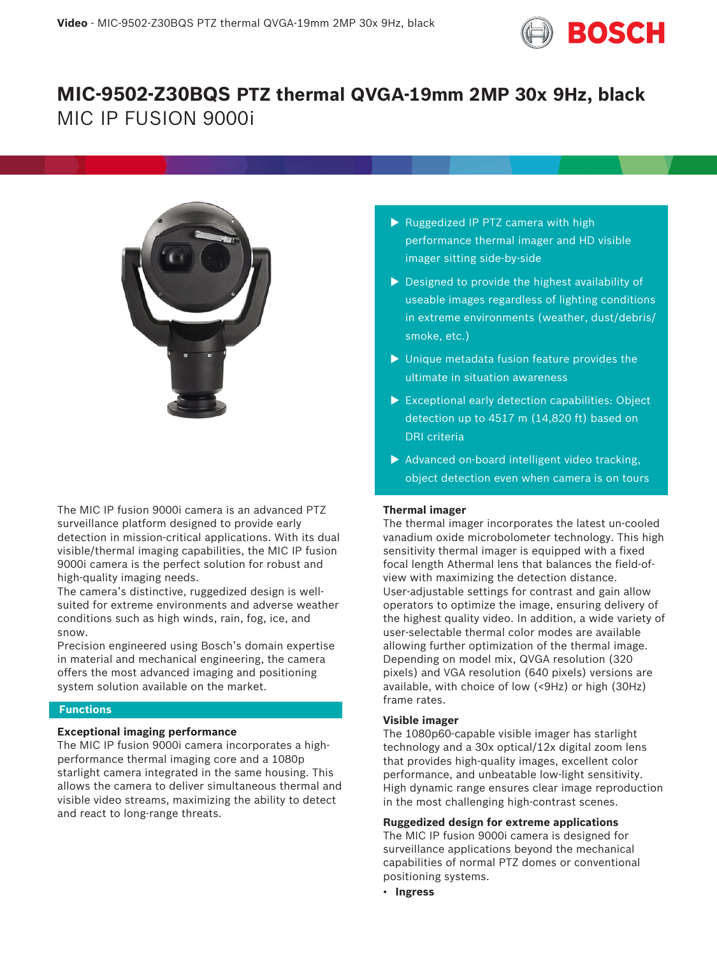

# **MIC-9502-Z30BQS PTZ thermal QVGA-19mm 2MP 30x 9Hz, black** MIC IP FUSION 9000i



The MIC IP fusion 9000i camera is an advanced PTZ surveillance platform designed to provide early detection in mission-critical applications. With its dual visible/thermal imaging capabilities, the MIC IP fusion 9000i camera is the perfect solution for robust and high-quality imaging needs.

The camera's distinctive, ruggedized design is wellsuited for extreme environments and adverse weather conditions such as high winds, rain, fog, ice, and snow.

Precision engineered using Bosch's domain expertise in material and mechanical engineering, the camera offers the most advanced imaging and positioning system solution available on the market.

# **Functions**

# **Exceptional imaging performance**

The MIC IP fusion 9000i camera incorporates a highperformance thermal imaging core and a 1080p starlight camera integrated in the same housing. This allows the camera to deliver simultaneous thermal and visible video streams, maximizing the ability to detect and react to long-range threats.

- $\triangleright$  Ruggedized IP PTZ camera with high performance thermal imager and HD visible imager sitting side-by-side
- $\triangleright$  Designed to provide the highest availability of useable images regardless of lighting conditions in extreme environments (weather, dust/debris/ smoke, etc.)
- $\blacktriangleright$  Unique metadata fusion feature provides the ultimate in situation awareness
- $\triangleright$  Exceptional early detection capabilities: Object detection up to 4517 m (14,820 ft) based on DRI criteria
- $\blacktriangleright$  Advanced on-board intelligent video tracking, object detection even when camera is on tours

# **Thermal imager**

The thermal imager incorporates the latest un-cooled vanadium oxide microbolometer technology. This high sensitivity thermal imager is equipped with a fixed focal length Athermal lens that balances the field-ofview with maximizing the detection distance. User-adjustable settings for contrast and gain allow operators to optimize the image, ensuring delivery of the highest quality video. In addition, a wide variety of user-selectable thermal color modes are available allowing further optimization of the thermal image. Depending on model mix, QVGA resolution (320 pixels) and VGA resolution (640 pixels) versions are available, with choice of low (<9Hz) or high (30Hz) frame rates.

# **Visible imager**

The 1080p60-capable visible imager has starlight technology and a 30x optical/12x digital zoom lens that provides high-quality images, excellent color performance, and unbeatable low-light sensitivity. High dynamic range ensures clear image reproduction in the most challenging high-contrast scenes.

# **Ruggedized design for extreme applications**

The MIC IP fusion 9000i camera is designed for surveillance applications beyond the mechanical capabilities of normal PTZ domes or conventional positioning systems.

• **Ingress**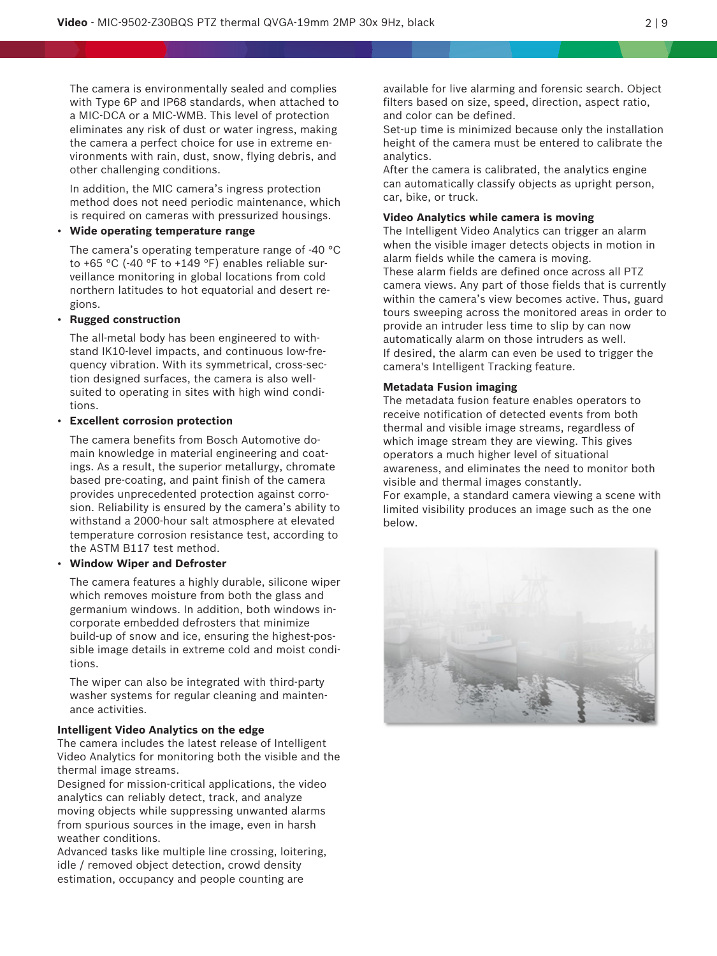The camera is environmentally sealed and complies with Type 6P and IP68 standards, when attached to a MIC-DCA or a MIC-WMB. This level of protection eliminates any risk of dust or water ingress, making the camera a perfect choice for use in extreme environments with rain, dust, snow, flying debris, and other challenging conditions.

In addition, the MIC camera's ingress protection method does not need periodic maintenance, which is required on cameras with pressurized housings.

# • **Wide operating temperature range**

The camera's operating temperature range of -40 °C to +65 °C (-40 °F to +149 °F) enables reliable surveillance monitoring in global locations from cold northern latitudes to hot equatorial and desert regions.

# • **Rugged construction**

The all-metal body has been engineered to withstand IK10-level impacts, and continuous low-frequency vibration. With its symmetrical, cross-section designed surfaces, the camera is also wellsuited to operating in sites with high wind conditions.

# • **Excellent corrosion protection**

The camera benefits from Bosch Automotive domain knowledge in material engineering and coatings. As a result, the superior metallurgy, chromate based pre-coating, and paint finish of the camera provides unprecedented protection against corrosion. Reliability is ensured by the camera's ability to withstand a 2000-hour salt atmosphere at elevated temperature corrosion resistance test, according to the ASTM B117 test method.

# • **Window Wiper and Defroster**

The camera features a highly durable, silicone wiper which removes moisture from both the glass and germanium windows. In addition, both windows incorporate embedded defrosters that minimize build-up of snow and ice, ensuring the highest-possible image details in extreme cold and moist conditions.

The wiper can also be integrated with third-party washer systems for regular cleaning and maintenance activities.

# **Intelligent Video Analytics on the edge**

The camera includes the latest release of Intelligent Video Analytics for monitoring both the visible and the thermal image streams.

Designed for mission-critical applications, the video analytics can reliably detect, track, and analyze moving objects while suppressing unwanted alarms from spurious sources in the image, even in harsh weather conditions.

Advanced tasks like multiple line crossing, loitering, idle / removed object detection, crowd density estimation, occupancy and people counting are

available for live alarming and forensic search. Object filters based on size, speed, direction, aspect ratio, and color can be defined.

Set-up time is minimized because only the installation height of the camera must be entered to calibrate the analytics.

After the camera is calibrated, the analytics engine can automatically classify objects as upright person, car, bike, or truck.

### **Video Analytics while camera is moving**

The Intelligent Video Analytics can trigger an alarm when the visible imager detects objects in motion in alarm fields while the camera is moving. These alarm fields are defined once across all PTZ camera views. Any part of those fields that is currently within the camera's view becomes active. Thus, guard tours sweeping across the monitored areas in order to provide an intruder less time to slip by can now automatically alarm on those intruders as well. If desired, the alarm can even be used to trigger the camera's Intelligent Tracking feature.

# **Metadata Fusion imaging**

The metadata fusion feature enables operators to receive notification of detected events from both thermal and visible image streams, regardless of which image stream they are viewing. This gives operators a much higher level of situational awareness, and eliminates the need to monitor both visible and thermal images constantly.

For example, a standard camera viewing a scene with limited visibility produces an image such as the one below.

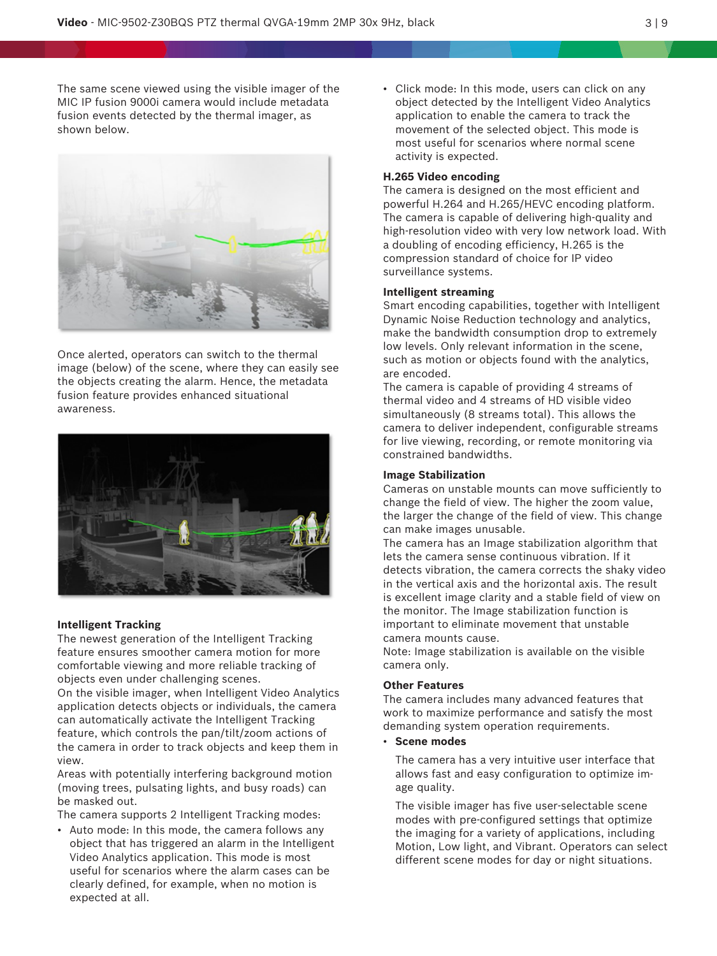The same scene viewed using the visible imager of the MIC IP fusion 9000i camera would include metadata fusion events detected by the thermal imager, as shown below.



Once alerted, operators can switch to the thermal image (below) of the scene, where they can easily see the objects creating the alarm. Hence, the metadata fusion feature provides enhanced situational awareness.



# **Intelligent Tracking**

The newest generation of the Intelligent Tracking feature ensures smoother camera motion for more comfortable viewing and more reliable tracking of objects even under challenging scenes.

On the visible imager, when Intelligent Video Analytics application detects objects or individuals, the camera can automatically activate the Intelligent Tracking feature, which controls the pan/tilt/zoom actions of the camera in order to track objects and keep them in view.

Areas with potentially interfering background motion (moving trees, pulsating lights, and busy roads) can be masked out.

The camera supports 2 Intelligent Tracking modes:

• Auto mode: In this mode, the camera follows any object that has triggered an alarm in the Intelligent Video Analytics application. This mode is most useful for scenarios where the alarm cases can be clearly defined, for example, when no motion is expected at all.

• Click mode: In this mode, users can click on any object detected by the Intelligent Video Analytics application to enable the camera to track the movement of the selected object. This mode is most useful for scenarios where normal scene activity is expected.

### **H.265 Video encoding**

The camera is designed on the most efficient and powerful H.264 and H.265/HEVC encoding platform. The camera is capable of delivering high-quality and high-resolution video with very low network load. With a doubling of encoding efficiency, H.265 is the compression standard of choice for IP video surveillance systems.

#### **Intelligent streaming**

Smart encoding capabilities, together with Intelligent Dynamic Noise Reduction technology and analytics, make the bandwidth consumption drop to extremely low levels. Only relevant information in the scene, such as motion or objects found with the analytics, are encoded.

The camera is capable of providing 4 streams of thermal video and 4 streams of HD visible video simultaneously (8 streams total). This allows the camera to deliver independent, configurable streams for live viewing, recording, or remote monitoring via constrained bandwidths.

### **Image Stabilization**

Cameras on unstable mounts can move sufficiently to change the field of view. The higher the zoom value, the larger the change of the field of view. This change can make images unusable.

The camera has an Image stabilization algorithm that lets the camera sense continuous vibration. If it detects vibration, the camera corrects the shaky video in the vertical axis and the horizontal axis. The result is excellent image clarity and a stable field of view on the monitor. The Image stabilization function is important to eliminate movement that unstable camera mounts cause.

Note: Image stabilization is available on the visible camera only.

# **Other Features**

The camera includes many advanced features that work to maximize performance and satisfy the most demanding system operation requirements.

• **Scene modes**

The camera has a very intuitive user interface that allows fast and easy configuration to optimize image quality.

The visible imager has five user-selectable scene modes with pre-configured settings that optimize the imaging for a variety of applications, including Motion, Low light, and Vibrant. Operators can select different scene modes for day or night situations.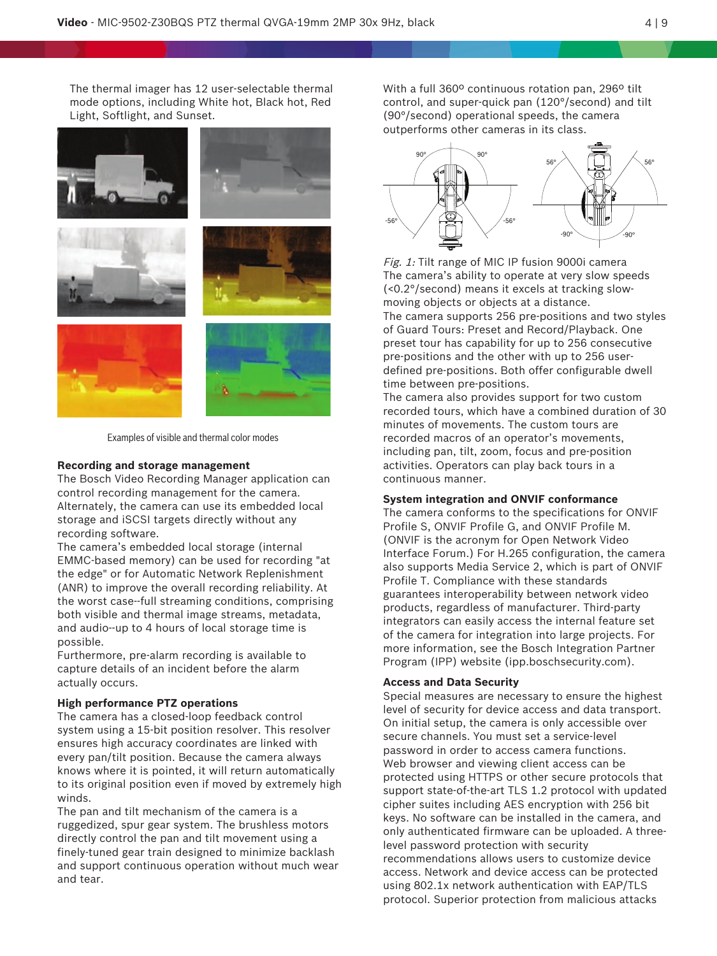The thermal imager has 12 user-selectable thermal mode options, including White hot, Black hot, Red Light, Softlight, and Sunset.



Examples of visible and thermal color modes

#### **Recording and storage management**

The Bosch Video Recording Manager application can control recording management for the camera. Alternately, the camera can use its embedded local storage and iSCSI targets directly without any recording software.

The camera's embedded local storage (internal EMMC-based memory) can be used for recording "at the edge" or for Automatic Network Replenishment (ANR) to improve the overall recording reliability. At the worst case--full streaming conditions, comprising both visible and thermal image streams, metadata, and audio--up to 4 hours of local storage time is possible.

Furthermore, pre-alarm recording is available to capture details of an incident before the alarm actually occurs.

#### **High performance PTZ operations**

The camera has a closed-loop feedback control system using a 15-bit position resolver. This resolver ensures high accuracy coordinates are linked with every pan/tilt position. Because the camera always knows where it is pointed, it will return automatically to its original position even if moved by extremely high winds.

The pan and tilt mechanism of the camera is a ruggedized, spur gear system. The brushless motors directly control the pan and tilt movement using a finely-tuned gear train designed to minimize backlash and support continuous operation without much wear and tear.

With a full 360º continuous rotation pan, 296º tilt control, and super-quick pan (120°/second) and tilt (90°/second) operational speeds, the camera outperforms other cameras in its class.



Fig. 1: Tilt range of MIC IP fusion 9000i camera The camera's ability to operate at very slow speeds (<0.2°/second) means it excels at tracking slowmoving objects or objects at a distance.

The camera supports 256 pre-positions and two styles of Guard Tours: Preset and Record/Playback. One preset tour has capability for up to 256 consecutive pre-positions and the other with up to 256 userdefined pre-positions. Both offer configurable dwell time between pre-positions.

The camera also provides support for two custom recorded tours, which have a combined duration of 30 minutes of movements. The custom tours are recorded macros of an operator's movements, including pan, tilt, zoom, focus and pre-position activities. Operators can play back tours in a continuous manner.

#### **System integration and ONVIF conformance**

The camera conforms to the specifications for ONVIF Profile S, ONVIF Profile G, and ONVIF Profile M. (ONVIF is the acronym for Open Network Video Interface Forum.) For H.265 configuration, the camera also supports Media Service 2, which is part of ONVIF Profile T. Compliance with these standards guarantees interoperability between network video products, regardless of manufacturer. Third-party integrators can easily access the internal feature set of the camera for integration into large projects. For more information, see the Bosch Integration Partner Program (IPP) website (ipp.boschsecurity.com).

# **Access and Data Security**

Special measures are necessary to ensure the highest level of security for device access and data transport. On initial setup, the camera is only accessible over secure channels. You must set a service-level password in order to access camera functions. Web browser and viewing client access can be protected using HTTPS or other secure protocols that support state-of-the-art TLS 1.2 protocol with updated cipher suites including AES encryption with 256 bit keys. No software can be installed in the camera, and only authenticated firmware can be uploaded. A threelevel password protection with security recommendations allows users to customize device access. Network and device access can be protected using 802.1x network authentication with EAP/TLS protocol. Superior protection from malicious attacks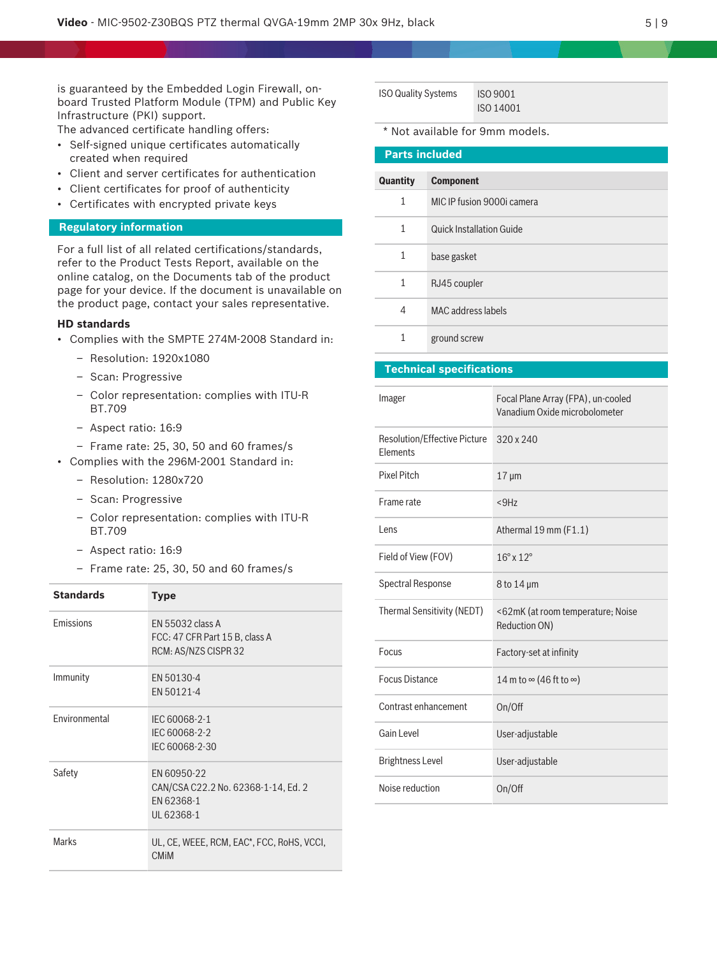is guaranteed by the Embedded Login Firewall, onboard Trusted Platform Module (TPM) and Public Key Infrastructure (PKI) support.

The advanced certificate handling offers:

- Self-signed unique certificates automatically created when required
- Client and server certificates for authentication
- Client certificates for proof of authenticity
- Certificates with encrypted private keys

# **Regulatory information**

For a full list of all related certifications/standards, refer to the Product Tests Report, available on the online catalog, on the Documents tab of the product page for your device. If the document is unavailable on the product page, contact your sales representative.

#### **HD standards**

- Complies with the SMPTE 274M-2008 Standard in:
	- Resolution: 1920x1080
	- Scan: Progressive
	- Color representation: complies with ITU-R BT.709
	- Aspect ratio: 16:9
	- Frame rate: 25, 30, 50 and 60 frames/s
- Complies with the 296M-2001 Standard in:
	- Resolution: 1280x720
	- Scan: Progressive
	- Color representation: complies with ITU-R BT.709
	- Aspect ratio: 16:9
	- Frame rate: 25, 30, 50 and 60 frames/s

| <b>Standards</b> | <b>Type</b>                                                                    |
|------------------|--------------------------------------------------------------------------------|
| Emissions        | EN 55032 class A<br>FCC: 47 CFR Part 15 B, class A<br>RCM: AS/NZS CISPR 32     |
| Immunity         | EN 50130-4<br>EN 50121-4                                                       |
| Environmental    | IEC 60068-2-1<br>IEC 60068-2-2<br>IEC 60068-2-30                               |
| Safety           | EN 60950-22<br>CAN/CSA C22.2 No. 62368-1-14, Ed. 2<br>EN 62368-1<br>UL 62368-1 |
| <b>Marks</b>     | UL, CE, WEEE, RCM, EAC*, FCC, RoHS, VCCI,<br><b>CMIM</b>                       |

| <b>ISO Quality Systems</b> | <b>ISO 9001</b> |
|----------------------------|-----------------|
|                            | ISO 14001       |

\* Not available for 9mm models.

| <b>Parts included</b> |                                 |  |  |
|-----------------------|---------------------------------|--|--|
| Quantity              | <b>Component</b>                |  |  |
| $\mathbf{1}$          | MIC IP fusion 9000i camera      |  |  |
| $\mathbf{1}$          | <b>Quick Installation Guide</b> |  |  |
| $\mathbf{1}$          | base gasket                     |  |  |
| $\mathbf{1}$          | RJ45 coupler                    |  |  |
| 4                     | MAC address labels              |  |  |
| 1                     | ground screw                    |  |  |

# **Technical specifications**

| Imager                                          | Focal Plane Array (FPA), un-cooled<br>Vanadium Oxide microbolometer |
|-------------------------------------------------|---------------------------------------------------------------------|
| <b>Resolution/Effective Picture</b><br>Elements | 320 x 240                                                           |
| <b>Pixel Pitch</b>                              | $17 \mu m$                                                          |
| Frame rate                                      | $<$ 9Hz                                                             |
| Lens                                            | Athermal 19 mm (F1.1)                                               |
| Field of View (FOV)                             | $16^{\circ}$ x $12^{\circ}$                                         |
| <b>Spectral Response</b>                        | $8$ to 14 $\mu$ m                                                   |
| <b>Thermal Sensitivity (NEDT)</b>               | <62mK (at room temperature; Noise<br>Reduction ON)                  |
| Focus                                           | Factory-set at infinity                                             |
| <b>Focus Distance</b>                           | 14 m to $\infty$ (46 ft to $\infty$ )                               |
| Contrast enhancement                            | On/Off                                                              |
| Gain Level                                      | User-adjustable                                                     |
| <b>Brightness Level</b>                         | User-adjustable                                                     |
| Noise reduction                                 | On/Off                                                              |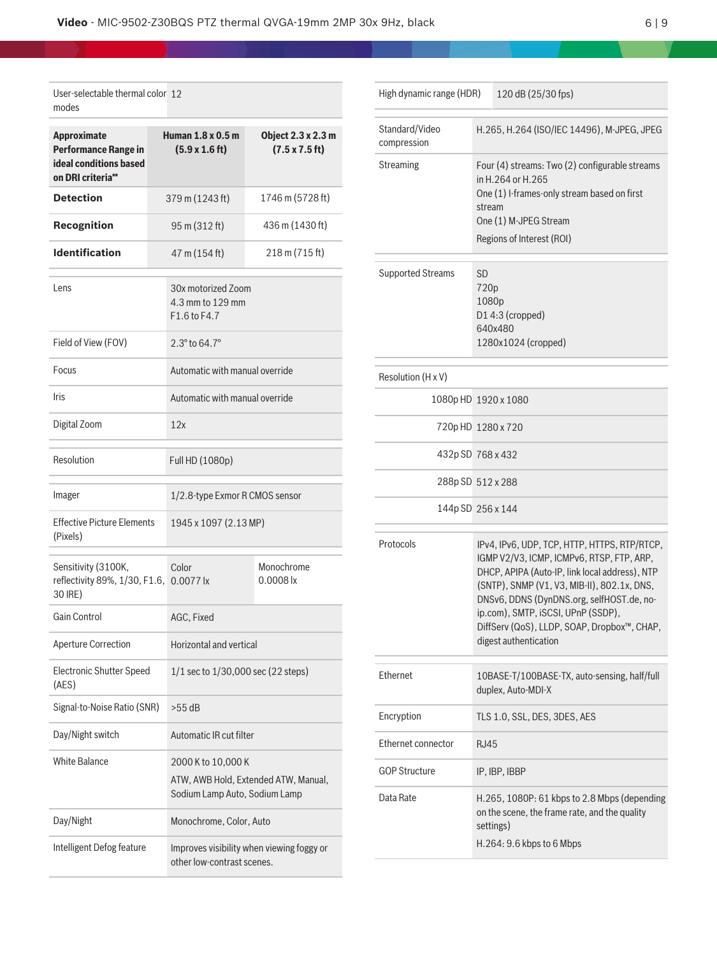i.

| User-selectable thermal color 12<br>modes                                                        |                                                        |                                                                                             |                                                     |
|--------------------------------------------------------------------------------------------------|--------------------------------------------------------|---------------------------------------------------------------------------------------------|-----------------------------------------------------|
| <b>Approximate</b><br><b>Performance Range in</b><br>ideal conditions based<br>on DRI criteria** |                                                        | Human 1.8 x 0.5 m<br>$(5.9 \times 1.6 \text{ ft})$                                          | Object 2.3 x 2.3 m<br>$(7.5 \times 7.5 \text{ ft})$ |
| <b>Detection</b>                                                                                 |                                                        | 379 m (1243 ft)                                                                             | 1746 m (5728 ft)                                    |
| Recognition                                                                                      |                                                        | 95 m (312 ft)                                                                               | 436 m (1430 ft)                                     |
| <b>Identification</b>                                                                            | 47 m (154 ft)                                          |                                                                                             | 218 m (715 ft)                                      |
| Lens                                                                                             | 30x motorized Zoom<br>4.3 mm to 129 mm<br>F1.6 to F4.7 |                                                                                             |                                                     |
| Field of View (FOV)                                                                              |                                                        | $2.3^{\circ}$ to 64.7 $^{\circ}$                                                            |                                                     |
| Focus                                                                                            |                                                        | Automatic with manual override                                                              |                                                     |
| Iris                                                                                             |                                                        | Automatic with manual override                                                              |                                                     |
| Digital Zoom                                                                                     |                                                        | 12x                                                                                         |                                                     |
| Resolution                                                                                       |                                                        | Full HD (1080p)                                                                             |                                                     |
| Imager                                                                                           |                                                        | 1/2.8-type Exmor R CMOS sensor                                                              |                                                     |
| <b>Effective Picture Elements</b><br>(Pixels)                                                    |                                                        | 1945 x 1097 (2.13 MP)                                                                       |                                                     |
| Sensitivity (3100K,<br>reflectivity 89%, 1/30, F1.6, 0.0077 lx<br>30 IRE)                        |                                                        | Color                                                                                       | Monochrome<br>$0.0008$ lx                           |
| Gain Control                                                                                     |                                                        | AGC, Fixed                                                                                  |                                                     |
| <b>Aperture Correction</b>                                                                       |                                                        | Horizontal and vertical                                                                     |                                                     |
| <b>Electronic Shutter Speed</b><br>(AES)                                                         |                                                        | 1/1 sec to 1/30,000 sec (22 steps)                                                          |                                                     |
| Signal-to-Noise Ratio (SNR)                                                                      |                                                        | $>55$ dB                                                                                    |                                                     |
| Day/Night switch                                                                                 | Automatic IR cut filter                                |                                                                                             |                                                     |
| <b>White Balance</b>                                                                             |                                                        | 2000 K to 10,000 K<br>ATW, AWB Hold, Extended ATW, Manual,<br>Sodium Lamp Auto, Sodium Lamp |                                                     |
| Day/Night                                                                                        | Monochrome, Color, Auto                                |                                                                                             |                                                     |
| Intelligent Defog feature                                                                        |                                                        | Improves visibility when viewing foggy or<br>other low-contrast scenes.                     |                                                     |

| High dynamic range (HDR)      |                                                                                                                                                                                                                                                                                                                                                       | 120 dB (25/30 fps)                                                 |
|-------------------------------|-------------------------------------------------------------------------------------------------------------------------------------------------------------------------------------------------------------------------------------------------------------------------------------------------------------------------------------------------------|--------------------------------------------------------------------|
| Standard/Video<br>compression | H.265, H.264 (ISO/IEC 14496), M-JPEG, JPEG                                                                                                                                                                                                                                                                                                            |                                                                    |
| Streaming                     | Four (4) streams: Two (2) configurable streams<br>in H.264 or H.265<br>One (1) I-frames-only stream based on first<br>stream<br>One (1) M-JPEG Stream<br>Regions of Interest (ROI)                                                                                                                                                                    |                                                                    |
| <b>Supported Streams</b>      | <b>SD</b><br>720p<br>1080p<br>D14:3 (cropped)<br>640x480<br>1280x1024 (cropped)                                                                                                                                                                                                                                                                       |                                                                    |
| Resolution (H x V)            |                                                                                                                                                                                                                                                                                                                                                       |                                                                    |
| 1080p HD 1920 x 1080          |                                                                                                                                                                                                                                                                                                                                                       |                                                                    |
| 720p HD 1280 x 720            |                                                                                                                                                                                                                                                                                                                                                       |                                                                    |
| 432p SD 768 x 432             |                                                                                                                                                                                                                                                                                                                                                       |                                                                    |
|                               | 288p SD 512 x 288                                                                                                                                                                                                                                                                                                                                     |                                                                    |
| 144p SD 256 x 144             |                                                                                                                                                                                                                                                                                                                                                       |                                                                    |
| Protocols                     | IPv4, IPv6, UDP, TCP, HTTP, HTTPS, RTP/RTCP,<br>IGMP V2/V3, ICMP, ICMPv6, RTSP, FTP, ARP,<br>DHCP, APIPA (Auto-IP, link local address), NTP<br>(SNTP), SNMP (V1, V3, MIB-II), 802.1x, DNS,<br>DNSv6, DDNS (DynDNS.org, selfHOST.de, no-<br>ip.com), SMTP, iSCSI, UPnP (SSDP),<br>DiffServ (QoS), LLDP, SOAP, Dropbox™, CHAP,<br>digest authentication |                                                                    |
| Ethernet                      |                                                                                                                                                                                                                                                                                                                                                       | 10BASE-T/100BASE-TX, auto-sensing, half/full<br>duplex, Auto-MDI-X |
| Encryption                    | TLS 1.0, SSL, DES, 3DES, AES                                                                                                                                                                                                                                                                                                                          |                                                                    |
| Ethernet connector            | <b>RJ45</b>                                                                                                                                                                                                                                                                                                                                           |                                                                    |
| <b>GOP Structure</b>          |                                                                                                                                                                                                                                                                                                                                                       | IP, IBP, IBBP                                                      |
| Data Rate                     | H.265, 1080P: 61 kbps to 2.8 Mbps (depending<br>on the scene, the frame rate, and the quality<br>settings)<br>H.264: 9.6 kbps to 6 Mbps                                                                                                                                                                                                               |                                                                    |

٦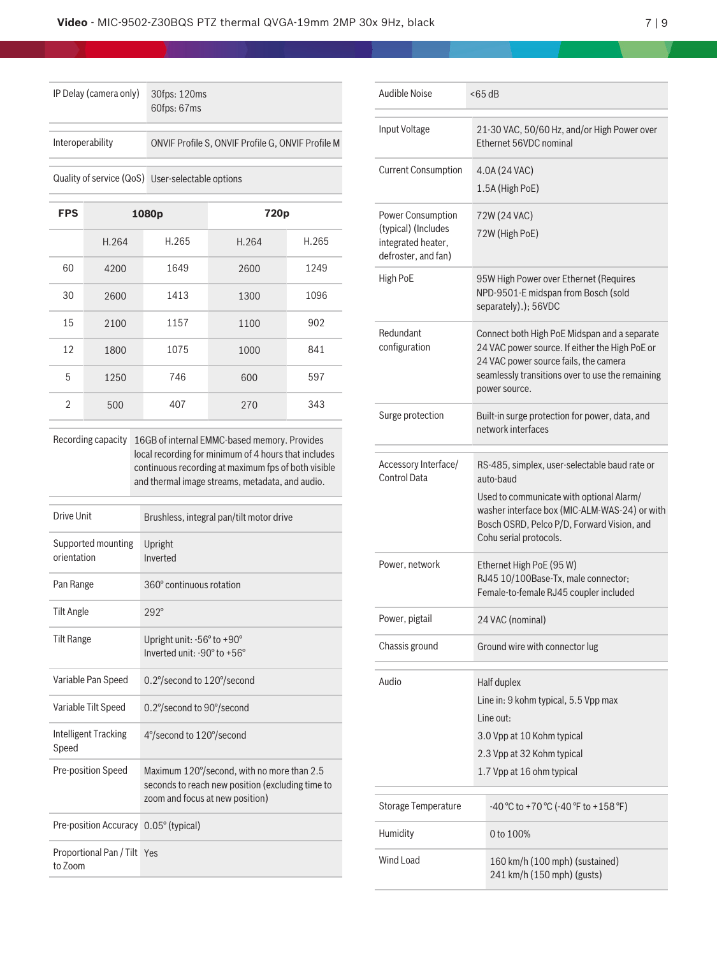| IP Delay (camera only) | 30fps: 120ms<br>60fps: 67ms                       |
|------------------------|---------------------------------------------------|
| Interoperability       | ONVIF Profile S, ONVIF Profile G, ONVIF Profile M |
|                        | Quality of service (QoS) User-selectable options  |

| <b>FPS</b>     |       | 1080p | 720p  |       |
|----------------|-------|-------|-------|-------|
|                | H.264 | H.265 | H.264 | H.265 |
| 60             | 4200  | 1649  | 2600  | 1249  |
| 30             | 2600  | 1413  | 1300  | 1096  |
| 15             | 2100  | 1157  | 1100  | 902   |
| 12             | 1800  | 1075  | 1000  | 841   |
| 5              | 1250  | 746   | 600   | 597   |
| $\mathfrak{D}$ | 500   | 407   | 270   | 343   |

Recording capacity 16GB of internal EMMC-based memory. Provides local recording for minimum of 4 hours that includes continuous recording at maximum fps of both visible and thermal image streams, metadata, and audio.

| Drive Unit                             | Brushless, integral pan/tilt motor drive                                                                                          |
|----------------------------------------|-----------------------------------------------------------------------------------------------------------------------------------|
| Supported mounting<br>orientation      | Upright<br>Inverted                                                                                                               |
| Pan Range                              | 360° continuous rotation                                                                                                          |
| Tilt Angle                             | $292^\circ$                                                                                                                       |
| Tilt Range                             | Upright unit: -56° to +90°<br>Inverted unit: -90° to +56°                                                                         |
| Variable Pan Speed                     | 0.2°/second to 120°/second                                                                                                        |
| Variable Tilt Speed                    | 0.2°/second to 90°/second                                                                                                         |
| Intelligent Tracking<br>Speed          | 4°/second to 120°/second                                                                                                          |
| Pre-position Speed                     | Maximum 120°/second, with no more than 2.5<br>seconds to reach new position (excluding time to<br>zoom and focus at new position) |
| Pre-position Accuracy 0.05° (typical)  |                                                                                                                                   |
| Proportional Pan / Tilt Yes<br>to Zoom |                                                                                                                                   |

| Audible Noise                                                                         | $<$ 65 dB                                                                                                                                                                                                                       |  |  |
|---------------------------------------------------------------------------------------|---------------------------------------------------------------------------------------------------------------------------------------------------------------------------------------------------------------------------------|--|--|
| Input Voltage                                                                         | 21-30 VAC, 50/60 Hz, and/or High Power over<br>Ethernet 56VDC nominal                                                                                                                                                           |  |  |
| <b>Current Consumption</b>                                                            | 4.0A (24 VAC)<br>1.5A (High PoE)                                                                                                                                                                                                |  |  |
| Power Consumption<br>(typical) (Includes<br>integrated heater,<br>defroster, and fan) | 72W (24 VAC)<br>72W (High PoE)                                                                                                                                                                                                  |  |  |
| High PoE                                                                              | 95W High Power over Ethernet (Requires<br>NPD-9501-E midspan from Bosch (sold<br>separately).); 56VDC                                                                                                                           |  |  |
| Redundant<br>configuration                                                            | Connect both High PoE Midspan and a separate<br>24 VAC power source. If either the High PoE or<br>24 VAC power source fails, the camera<br>seamlessly transitions over to use the remaining<br>power source.                    |  |  |
| Surge protection                                                                      | Built-in surge protection for power, data, and<br>network interfaces                                                                                                                                                            |  |  |
| Accessory Interface/<br><b>Control Data</b>                                           | RS-485, simplex, user-selectable baud rate or<br>auto-baud<br>Used to communicate with optional Alarm/<br>washer interface box (MIC-ALM-WAS-24) or with<br>Bosch OSRD, Pelco P/D, Forward Vision, and<br>Cohu serial protocols. |  |  |
| Power, network                                                                        | Ethernet High PoE (95 W)<br>RJ45 10/100Base-Tx, male connector;<br>Female-to-female RJ45 coupler included                                                                                                                       |  |  |
| Power, pigtail                                                                        | 24 VAC (nominal)                                                                                                                                                                                                                |  |  |
| Chassis ground                                                                        | Ground wire with connector lug                                                                                                                                                                                                  |  |  |
| Audio                                                                                 | Half duplex<br>Line in: 9 kohm typical, 5.5 Vpp max<br>I ine out:<br>3.0 Vpp at 10 Kohm typical<br>2.3 Vpp at 32 Kohm typical<br>1.7 Vpp at 16 ohm typical                                                                      |  |  |
| <b>Storage Temperature</b>                                                            | -40 °C to +70 °C (-40 °F to +158 °F)                                                                                                                                                                                            |  |  |
| Humidity                                                                              | 0 to 100%                                                                                                                                                                                                                       |  |  |
| Wind Load                                                                             | 160 km/h (100 mph) (sustained)<br>241 km/h (150 mph) (gusts)                                                                                                                                                                    |  |  |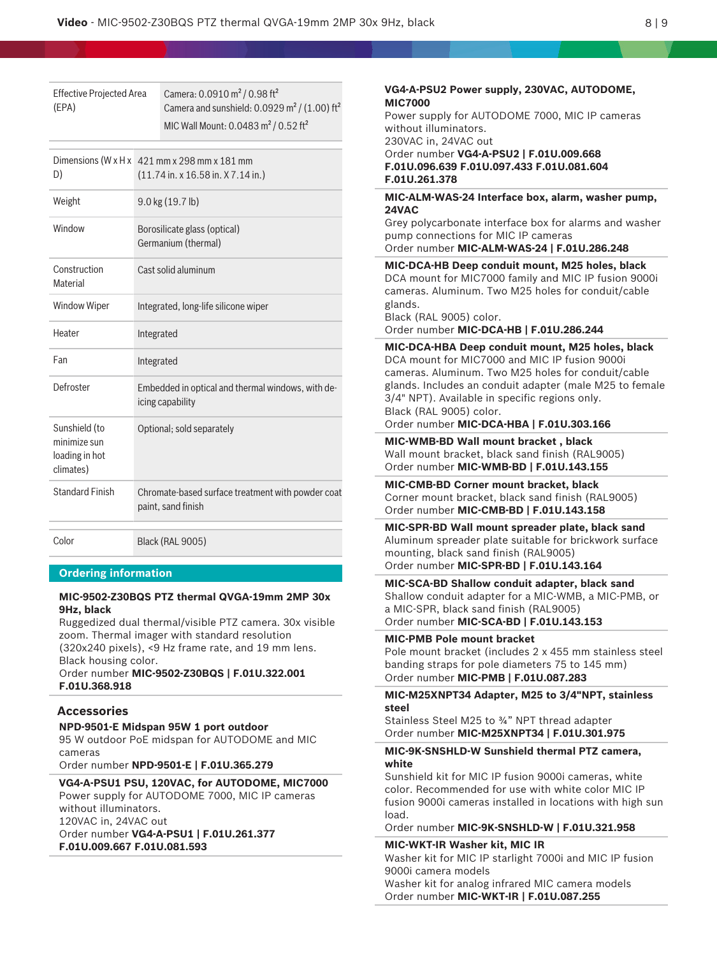Effective Projected Area (EPA) Camera: 0.0910 m² / 0.98 ft² Camera and sunshield:  $0.0929$  m<sup>2</sup> / (1.00) ft<sup>2</sup> MIC Wall Mount: 0.0483 m<sup>2</sup> / 0.52 ft<sup>2</sup>

| D)                                                           | Dimensions (W $x$ H $x$ 421 mm $x$ 298 mm $x$ 181 mm<br>$(11.74 \text{ in. x } 16.58 \text{ in. X } 7.14 \text{ in.})$ |
|--------------------------------------------------------------|------------------------------------------------------------------------------------------------------------------------|
| Weight                                                       | $9.0$ kg $(19.7$ lb)                                                                                                   |
| Window                                                       | Borosilicate glass (optical)<br>Germanium (thermal)                                                                    |
| Construction<br>Material                                     | Cast solid aluminum                                                                                                    |
| <b>Window Wiper</b>                                          | Integrated, long-life silicone wiper                                                                                   |
| Heater                                                       | Integrated                                                                                                             |
| Fan                                                          | Integrated                                                                                                             |
| Defroster                                                    | Embedded in optical and thermal windows, with de-<br>icing capability                                                  |
| Sunshield (to<br>minimize sun<br>loading in hot<br>climates) | Optional; sold separately                                                                                              |
| <b>Standard Finish</b>                                       | Chromate-based surface treatment with powder coat<br>paint, sand finish                                                |
| Color                                                        | <b>Black (RAL 9005)</b>                                                                                                |

#### **Ordering information**

## **MIC-9502-Z30BQS PTZ thermal QVGA-19mm 2MP 30x 9Hz, black**

Ruggedized dual thermal/visible PTZ camera. 30x visible zoom. Thermal imager with standard resolution (320x240 pixels), <9 Hz frame rate, and 19 mm lens. Black housing color.

Order number **MIC-9502-Z30BQS | F.01U.322.001 F.01U.368.918**

#### **Accessories**

**NPD-9501-E Midspan 95W 1 port outdoor** 95 W outdoor PoE midspan for AUTODOME and MIC cameras

Order number **NPD-9501-E | F.01U.365.279**

**VG4-A-PSU1 PSU, 120VAC, for AUTODOME, MIC7000** Power supply for AUTODOME 7000, MIC IP cameras without illuminators.

120VAC in, 24VAC out

Order number **VG4-A-PSU1 | F.01U.261.377 F.01U.009.667 F.01U.081.593**

# **VG4-A-PSU2 Power supply, 230VAC, AUTODOME, MIC7000** Power supply for AUTODOME 7000, MIC IP cameras without illuminators. 230VAC in, 24VAC out Order number **VG4-A-PSU2 | F.01U.009.668 F.01U.096.639 F.01U.097.433 F.01U.081.604 F.01U.261.378 MIC-ALM-WAS-24 Interface box, alarm, washer pump, 24VAC** Grey polycarbonate interface box for alarms and washer pump connections for MIC IP cameras Order number **MIC-ALM-WAS-24 | F.01U.286.248 MIC-DCA-HB Deep conduit mount, M25 holes, black** DCA mount for MIC7000 family and MIC IP fusion 9000i cameras. Aluminum. Two M25 holes for conduit/cable glands. Black (RAL 9005) color. Order number **MIC-DCA-HB | F.01U.286.244 MIC-DCA-HBA Deep conduit mount, M25 holes, black** DCA mount for MIC7000 and MIC IP fusion 9000i cameras. Aluminum. Two M25 holes for conduit/cable glands. Includes an conduit adapter (male M25 to female 3/4" NPT). Available in specific regions only. Black (RAL 9005) color. Order number **MIC-DCA-HBA | F.01U.303.166 MIC-WMB-BD Wall mount bracket , black** Wall mount bracket, black sand finish (RAL9005) Order number **MIC-WMB-BD | F.01U.143.155 MIC-CMB-BD Corner mount bracket, black** Corner mount bracket, black sand finish (RAL9005) Order number **MIC-CMB-BD | F.01U.143.158 MIC-SPR-BD Wall mount spreader plate, black sand** Aluminum spreader plate suitable for brickwork surface mounting, black sand finish (RAL9005) Order number **MIC-SPR-BD | F.01U.143.164 MIC-SCA-BD Shallow conduit adapter, black sand** Shallow conduit adapter for a MIC-WMB, a MIC-PMB, or a MIC-SPR, black sand finish (RAL9005) Order number **MIC-SCA-BD | F.01U.143.153 MIC-PMB Pole mount bracket** Pole mount bracket (includes 2 x 455 mm stainless steel banding straps for pole diameters 75 to 145 mm) Order number **MIC-PMB | F.01U.087.283 MIC-M25XNPT34 Adapter, M25 to 3/4"NPT, stainless steel** Stainless Steel M25 to ¾" NPT thread adapter Order number **MIC-M25XNPT34 | F.01U.301.975 MIC-9K-SNSHLD-W Sunshield thermal PTZ camera, white** Sunshield kit for MIC IP fusion 9000i cameras, white color. Recommended for use with white color MIC IP fusion 9000i cameras installed in locations with high sun load.

Order number **MIC-9K-SNSHLD-W | F.01U.321.958**

#### **MIC-WKT-IR Washer kit, MIC IR**

Washer kit for MIC IP starlight 7000i and MIC IP fusion 9000i camera models

Washer kit for analog infrared MIC camera models Order number **MIC-WKT-IR | F.01U.087.255**